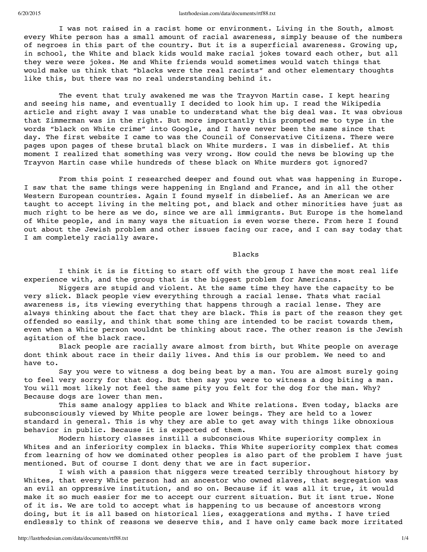I was not raised in a racist home or environment. Living in the South, almost every White person has a small amount of racial awareness, simply beause of the numbers of negroes in this part of the country. But it is a superficial awareness. Growing up, in school, the White and black kids would make racial jokes toward each other, but all they were were jokes. Me and White friends would sometimes would watch things that would make us think that "blacks were the real racists" and other elementary thoughts like this, but there was no real understanding behind it.

The event that truly awakened me was the Trayvon Martin case. I kept hearing and seeing his name, and eventually I decided to look him up. I read the Wikipedia article and right away I was unable to understand what the big deal was. It was obvious that Zimmerman was in the right. But more importantly this prompted me to type in the words "black on White crime" into Google, and I have never been the same since that day. The first website I came to was the Council of Conservative Citizens. There were pages upon pages of these brutal black on White murders. I was in disbelief. At this moment I realized that something was very wrong. How could the news be blowing up the Trayvon Martin case while hundreds of these black on White murders got ignored?

From this point I researched deeper and found out what was happening in Europe. I saw that the same things were happening in England and France, and in all the other Western European countries. Again I found myself in disbelief. As an American we are taught to accept living in the melting pot, and black and other minorities have just as much right to be here as we do, since we are all immigrants. But Europe is the homeland of White people, and in many ways the situation is even worse there. From here I found out about the Jewish problem and other issues facing our race, and I can say today that I am completely racially aware.

Blacks

I think it is is fitting to start off with the group I have the most real life experience with, and the group that is the biggest problem for Americans.

Niggers are stupid and violent. At the same time they have the capacity to be very slick. Black people view everything through a racial lense. Thats what racial awareness is, its viewing everything that happens through a racial lense. They are always thinking about the fact that they are black. This is part of the reason they get offended so easily, and think that some thing are intended to be racist towards them, even when a White person wouldnt be thinking about race. The other reason is the Jewish agitation of the black race.

Black people are racially aware almost from birth, but White people on average dont think about race in their daily lives. And this is our problem. We need to and have to.

Say you were to witness a dog being beat by a man. You are almost surely going to feel very sorry for that dog. But then say you were to witness a dog biting a man. You will most likely not feel the same pity you felt for the dog for the man. Why? Because dogs are lower than men.

This same analogy applies to black and White relations. Even today, blacks are subconsciously viewed by White people are lower beings. They are held to a lower standard in general. This is why they are able to get away with things like obnoxious behavior in public. Because it is expected of them.

Modern history classes instill a subconscious White superiority complex in Whites and an inferiority complex in blacks. This White superiority complex that comes from learning of how we dominated other peoples is also part of the problem I have just mentioned. But of course I dont deny that we are in fact superior.

I wish with a passion that niggers were treated terribly throughout history by Whites, that every White person had an ancestor who owned slaves, that segregation was an evil an oppressive institution, and so on. Because if it was all it true, it would make it so much easier for me to accept our current situation. But it isnt true. None of it is. We are told to accept what is happening to us because of ancestors wrong doing, but it is all based on historical lies, exaggerations and myths. I have tried endlessly to think of reasons we deserve this, and I have only came back more irritated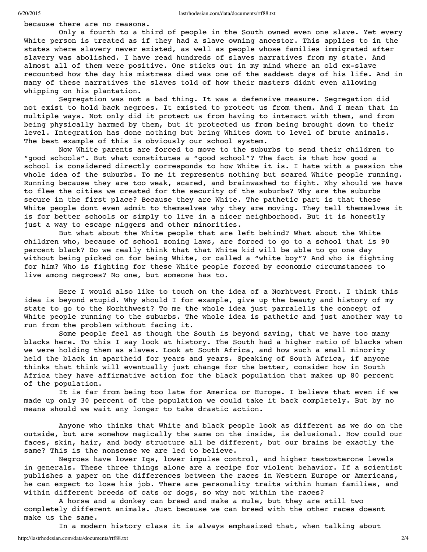because there are no reasons.

Only a fourth to a third of people in the South owned even one slave. Yet every White person is treated as if they had a slave owning ancestor. This applies to in the states where slavery never existed, as well as people whose families immigrated after slavery was abolished. I have read hundreds of slaves narratives from my state. And almost all of them were positive. One sticks out in my mind where an old ex-slave recounted how the day his mistress died was one of the saddest days of his life. And in many of these narratives the slaves told of how their masters didnt even allowing whipping on his plantation.

Segregation was not a bad thing. It was a defensive measure. Segregation did not exist to hold back negroes. It existed to protect us from them. And I mean that in multiple ways. Not only did it protect us from having to interact with them, and from being physically harmed by them, but it protected us from being brought down to their level. Integration has done nothing but bring Whites down to level of brute animals. The best example of this is obviously our school system.

Now White parents are forced to move to the suburbs to send their children to "good schools". But what constitutes a "good school"? The fact is that how good a school is considered directly corresponds to how White it is. I hate with a passion the whole idea of the suburbs. To me it represents nothing but scared White people running. Running because they are too weak, scared, and brainwashed to fight. Why should we have to flee the cities we created for the security of the suburbs? Why are the suburbs secure in the first place? Because they are White. The pathetic part is that these White people dont even admit to themselves why they are moving. They tell themselves it is for better schools or simply to live in a nicer neighborhood. But it is honestly just a way to escape niggers and other minorities.

But what about the White people that are left behind? What about the White children who, because of school zoning laws, are forced to go to a school that is 90 percent black? Do we really think that that White kid will be able to go one day without being picked on for being White, or called a "white boy"? And who is fighting for him? Who is fighting for these White people forced by economic circumstances to live among negroes? No one, but someone has to.

Here I would also like to touch on the idea of a Norhtwest Front. I think this idea is beyond stupid. Why should I for example, give up the beauty and history of my state to go to the Norhthwest? To me the whole idea just parralells the concept of White people running to the suburbs. The whole idea is pathetic and just another way to run from the problem without facing it.

Some people feel as though the South is beyond saving, that we have too many blacks here. To this I say look at history. The South had a higher ratio of blacks when we were holding them as slaves. Look at South Africa, and how such a small minority held the black in apartheid for years and years. Speaking of South Africa, if anyone thinks that think will eventually just change for the better, consider how in South Africa they have affirmative action for the black population that makes up 80 percent of the population.

It is far from being too late for America or Europe. I believe that even if we made up only 30 percent of the population we could take it back completely. But by no means should we wait any longer to take drastic action.

Anyone who thinks that White and black people look as different as we do on the outside, but are somehow magically the same on the inside, is delusional. How could our faces, skin, hair, and body structure all be different, but our brains be exactly the same? This is the nonsense we are led to believe.

Negroes have lower Iqs, lower impulse control, and higher testosterone levels in generals. These three things alone are a recipe for violent behavior. If a scientist publishes a paper on the differences between the races in Western Europe or Americans, he can expect to lose his job. There are personality traits within human families, and within different breeds of cats or dogs, so why not within the races?

A horse and a donkey can breed and make a mule, but they are still two completely different animals. Just because we can breed with the other races doesnt make us the same.

In a modern history class it is always emphasized that, when talking about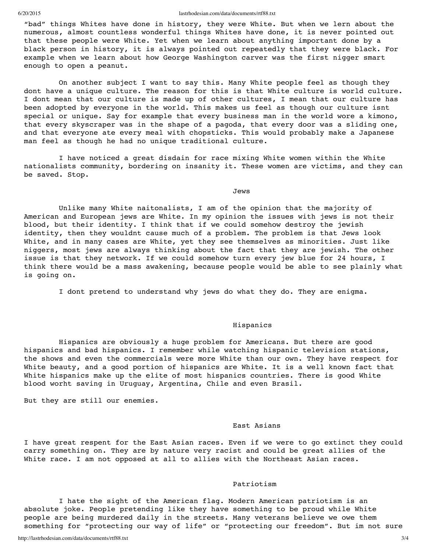#### 6/20/2015 lastrhodesian.com/data/documents/rtf88.txt

"bad" things Whites have done in history, they were White. But when we lern about the numerous, almost countless wonderful things Whites have done, it is never pointed out that these people were White. Yet when we learn about anything important done by a black person in history, it is always pointed out repeatedly that they were black. For example when we learn about how George Washington carver was the first nigger smart enough to open a peanut.

On another subject I want to say this. Many White people feel as though they dont have a unique culture. The reason for this is that White culture is world culture. I dont mean that our culture is made up of other cultures, I mean that our culture has been adopted by everyone in the world. This makes us feel as though our culture isnt special or unique. Say for example that every business man in the world wore a kimono, that every skyscraper was in the shape of a pagoda, that every door was a sliding one, and that everyone ate every meal with chopsticks. This would probably make a Japanese man feel as though he had no unique traditional culture.

I have noticed a great disdain for race mixing White women within the White nationalists community, bordering on insanity it. These women are victims, and they can be saved. Stop.

Jews

Unlike many White naitonalists, I am of the opinion that the majority of American and European jews are White. In my opinion the issues with jews is not their blood, but their identity. I think that if we could somehow destroy the jewish identity, then they wouldnt cause much of a problem. The problem is that Jews look White, and in many cases are White, yet they see themselves as minorities. Just like niggers, most jews are always thinking about the fact that they are jewish. The other issue is that they network. If we could somehow turn every jew blue for 24 hours, I think there would be a mass awakening, because people would be able to see plainly what is going on.

I dont pretend to understand why jews do what they do. They are enigma.

## Hispanics

Hispanics are obviously a huge problem for Americans. But there are good hispanics and bad hispanics. I remember while watching hispanic television stations, the shows and even the commercials were more White than our own. They have respect for White beauty, and a good portion of hispanics are White. It is a well known fact that White hispanics make up the elite of most hispanics countries. There is good White blood worht saving in Uruguay, Argentina, Chile and even Brasil.

But they are still our enemies.

### East Asians

I have great respent for the East Asian races. Even if we were to go extinct they could carry something on. They are by nature very racist and could be great allies of the White race. I am not opposed at all to allies with the Northeast Asian races.

### Patriotism

I hate the sight of the American flag. Modern American patriotism is an absolute joke. People pretending like they have something to be proud while White people are being murdered daily in the streets. Many veterans believe we owe them something for "protecting our way of life" or "protecting our freedom". But im not sure